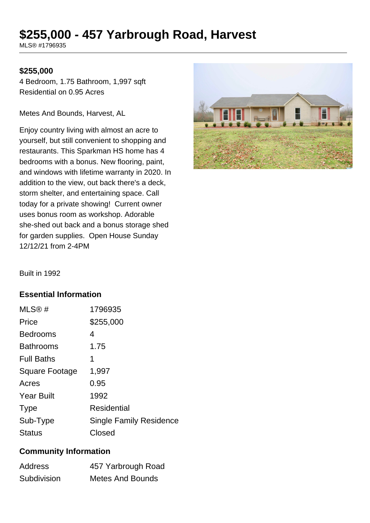# **\$255,000 - 457 Yarbrough Road, Harvest**

MLS® #1796935

#### **\$255,000**

4 Bedroom, 1.75 Bathroom, 1,997 sqft Residential on 0.95 Acres

Metes And Bounds, Harvest, AL

Enjoy country living with almost an acre to yourself, but still convenient to shopping and restaurants. This Sparkman HS home has 4 bedrooms with a bonus. New flooring, paint, and windows with lifetime warranty in 2020. In addition to the view, out back there's a deck, storm shelter, and entertaining space. Call today for a private showing! Current owner uses bonus room as workshop. Adorable she-shed out back and a bonus storage shed for garden supplies. Open House Sunday 12/12/21 from 2-4PM



Built in 1992

#### **Essential Information**

| MLS®#             | 1796935                        |
|-------------------|--------------------------------|
| Price             | \$255,000                      |
| <b>Bedrooms</b>   | 4                              |
| <b>Bathrooms</b>  | 1.75                           |
| <b>Full Baths</b> | 1                              |
| Square Footage    | 1,997                          |
| Acres             | 0.95                           |
| <b>Year Built</b> | 1992                           |
| <b>Type</b>       | Residential                    |
| Sub-Type          | <b>Single Family Residence</b> |
| <b>Status</b>     | Closed                         |

## **Community Information**

| <b>Address</b> | 457 Yarbrough Road |
|----------------|--------------------|
| Subdivision    | Metes And Bounds   |